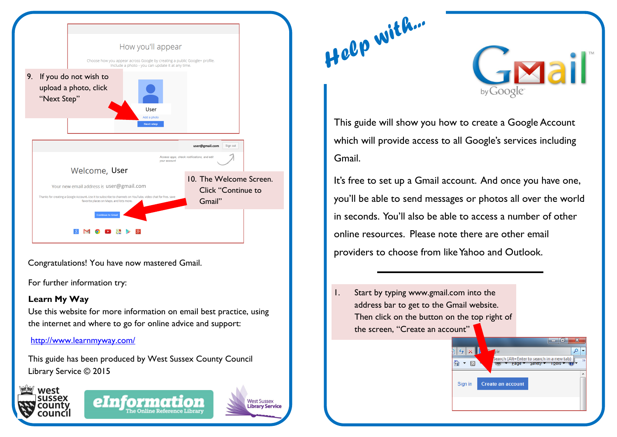

Congratulations! You have now mastered Gmail.

For further information try:

## **Learn My Way**

Use this website for more information on email best practice, using the internet and where to go for online advice and support:

## <http://www.learnmyway.com/>

This guide has been produced by West Sussex County Council Library Service © 2015









والمسد

Search (Alt+Enter to search in a new tab)

Page **Y** Satery

Create an account

This guide will show you how to create a Google Account which will provide access to all Google's services including Gmail.

*Help with...*

It's free to set up a Gmail account. And once you have one, you'll be able to send messages or photos all over the world in seconds. You'll also be able to access a number of other online resources. Please note there are other email providers to choose from like Yahoo and Outlook.

 $|\cdot|$   $\star$   $\times$ 

☆ - 同

Sign in

1. Start by typing www.gmail.com into the address bar to get to the Gmail website. Then click on the button on the top right of the screen, "Create an account"